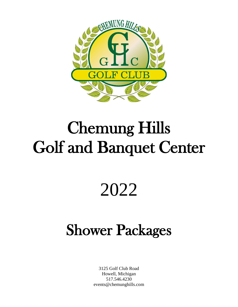

# Chemung Hills Golf and Banquet Center

# 2022

# Shower Packages

3125 Golf Club Road Howell, Michigan 517.546.4230 events@chemunghills.com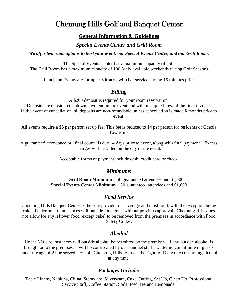## Chemung Hills Golf and Banquet Center

### **General Information & Guidelines**

### *Special Events Center and Grill Room*

*We offer two room options to host your event, our Special Events Center, and our Grill Room.* 

.

The Special Events Center has a maximum capacity of 250. The Grill Room has a maximum capacity of 100 (only available weekends during Golf Season).

Luncheon Events are for up to **3 hours,** with bar service ending 15 minutes prior.

## *Billing*

A \$200 deposit is required for your room reservation. Deposits are considered a down payment on the event and will be applied toward the final invoice. In the event of cancellation, all deposits are non-refundable unless cancellation is made **6** months prior to event.

All events require a **\$5** per person set up fee; This fee is reduced to \$4 per person for residents of Oceola Township.

A guaranteed attendance or "final count" is due 14 days prior to event, along with final payment. Excess charges will be billed on the day of the event.

Acceptable forms of payment include cash, credit card or check.

### *Minimums*

**Grill Room Minimum** – 50 guaranteed attendees and \$1,000 **Special Events Center Minimum** – 50 guaranteed attendees and \$1,000

## *Food Service*

Chemung Hills Banquet Center is the sole provider of beverage and most food, with the exception being cake. Under no circumstances will outside food enter without previous approval. Chemung Hills does not allow for any leftover food (except cake) to be removed from the premises in accordance with Food Safety Codes.

## *Alcohol*

Under NO circumstances will outside alcohol be permitted on the premises. If any outside alcohol is brought onto the premises, it will be confiscated by our banquet staff. Under no condition will guests under the age of 21 be served alcohol. Chemung Hills reserves the right to ID anyone consuming alcohol at any time.

## *Packages Include:*

Table Linens, Napkins, China, Stemware, Silverware, Cake Cutting, Set Up, Clean Up, Professional Service Staff, Coffee Station, Soda, Iced Tea and Lemonade.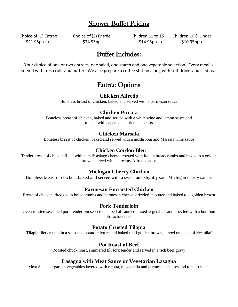## Shower Buffet Pricing

Choice of (1) Entrée Choice of (2) Entrée Children 11 to 15 Children 10 & Under

\$21.95pp ++ \$24.95pp ++ \$14.95pp ++ \$10.95pp ++

## Buffet Includes:

Your choice of one or two entrees, one salad, one starch and one vegetable selection. Every meal is served with fresh rolls and butter. We also prepare a coffee station along with soft drinks and iced tea.

## Entrée Options

#### **Chicken Alfredo**

Boneless breast of chicken, baked and served with a parmesan sauce

### **Chicken Piccata**

Boneless breast of chicken, baked and served with a white wine and lemon sauce and topped with capers and artichoke hearts

### **Chicken Marsala**

Boneless breast of chicken, baked and served with a mushroom and Marsala wine sauce

## **Chicken Cordon Bleu**

Tender breast of chicken filled with ham & asiago cheese, crusted with Italian breadcrumbs and baked to a golden brown, served with a creamy Alfredo sauce

### **Michigan Cherry Chicken**

Boneless breast of chicken, baked and served with a sweet and slightly sour Michigan cherry sauce.

### **Parmesan Encrusted Chicken**

Breast of chicken, dredged in breadcrumbs and parmesan cheese, drizzled in butter and baked to a golden brown

#### **Pork Tenderloin**

Oven roasted seasoned pork tenderloin served on a bed of sautéed mixed vegetables and drizzled with a bourbon Sriracha sauce

### **Potato Crusted Tilapia**

Tilapia filet crusted in a seasoned potato mixture and baked until golden brown, served on a bed of rice pilaf

### **Pot Roast of Beef**

Roasted chuck roast, simmered till fork tender and served in a rich beef gravy

#### **Lasagna with Meat Sauce or Vegetarian Lasagna**

Meat Sauce or garden vegetables layered with ricotta, mozzarella and parmesan cheeses and tomato sauce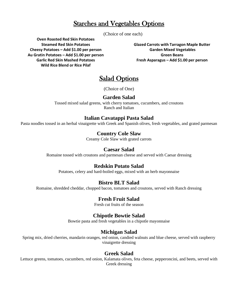## Starches and Vegetables Options

(Choice of one each)

**Oven Roasted Red Skin Potatoes Steamed Red Skin Potatoes Cheesy Potatoes – Add \$1.00 per person Au Gratin Potatoes – Add \$1.00 per person Garlic Red Skin Mashed Potatoes Wild Rice Blend or Rice Pilaf**

**Glazed Carrots with Tarragon Maple Butter Garden Mixed Vegetables Green Beans Fresh Asparagus – Add \$1.00 per person**

## Salad Options

(Choice of One)

### **Garden Salad**

Tossed mixed salad greens, with cherry tomatoes, cucumbers, and croutons Ranch and Italian

## **Italian Cavatappi Pasta Salad**

Pasta noodles tossed in an herbal vinaigrette with Greek and Spanish olives, fresh vegetables, and grated parmesan

## **Country Cole Slaw**

Creamy Cole Slaw with grated carrots

## **Caesar Salad**

Romaine tossed with croutons and parmesan cheese and served with Caesar dressing

### **Redskin Potato Salad**

Potatoes, celery and hard-boiled eggs, mixed with an herb mayonnaise

## **Bistro BLT Salad**

Romaine, shredded cheddar, chopped bacon, tomatoes and croutons, served with Ranch dressing

## **Fresh Fruit Salad**

Fresh cut fruits of the season

## **Chipotle Bowtie Salad**

Bowtie pasta and fresh vegetables in a chipotle mayonnaise

## **Michigan Salad**

Spring mix, dried cherries, mandarin oranges, red onion, candied walnuts and blue cheese, served with raspberry vinaigrette dressing

## **Greek Salad**

Lettuce greens, tomatoes, cucumbers, red onion, Kalamata olives, feta cheese, pepperoncini, and beets, served with Greek dressing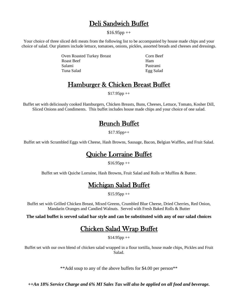## Deli Sandwich Buffet

 $$16.95pp++$ 

Your choice of three sliced deli meats from the following list to be accompanied by house made chips and your choice of salad. Our platters include lettuce, tomatoes, onions, pickles, assorted breads and cheeses and dressings.

> Oven Roasted Turkey Breast Corn Beef Roast Beef Ham Salami Pastrami Tuna Salad Egg Salad

## Hamburger & Chicken Breast Buffet

 $$17.95pp++$ 

Buffet set with deliciously cooked Hamburgers, Chicken Breasts, Buns, Cheeses, Lettuce, Tomato, Kosher Dill, Sliced Onions and Condiments. This buffet includes house made chips and your choice of one salad.

## Brunch Buffet

\$17.95pp++

Buffet set with Scrambled Eggs with Cheese, Hash Browns, Sausage, Bacon, Belgian Waffles, and Fruit Salad.

## Quiche Lorraine Buffet

 $$16.95pp++$ 

Buffet set with Quiche Lorraine, Hash Browns, Fruit Salad and Rolls or Muffins & Butter.

## Michigan Salad Buffet

 $$15.95pp++$ 

Buffet set with Grilled Chicken Breast, Mixed Greens, Crumbled Blue Cheese, Dried Cherries, Red Onion, Mandarin Oranges and Candied Walnuts. Served with Fresh Baked Rolls & Butter

**The salad buffet is served salad bar style and can be substituted with any of our salad choices**

## Chicken Salad Wrap Buffet

 $$14.95pp++$ 

Buffet set with our own blend of chicken salad wrapped in a flour tortilla, house made chips, Pickles and Fruit Salad.

\*\*Add soup to any of the above buffets for \$4.00 per person\*\*

*++An 18% Service Charge and 6% MI Sales Tax will also be applied on all food and beverage.*